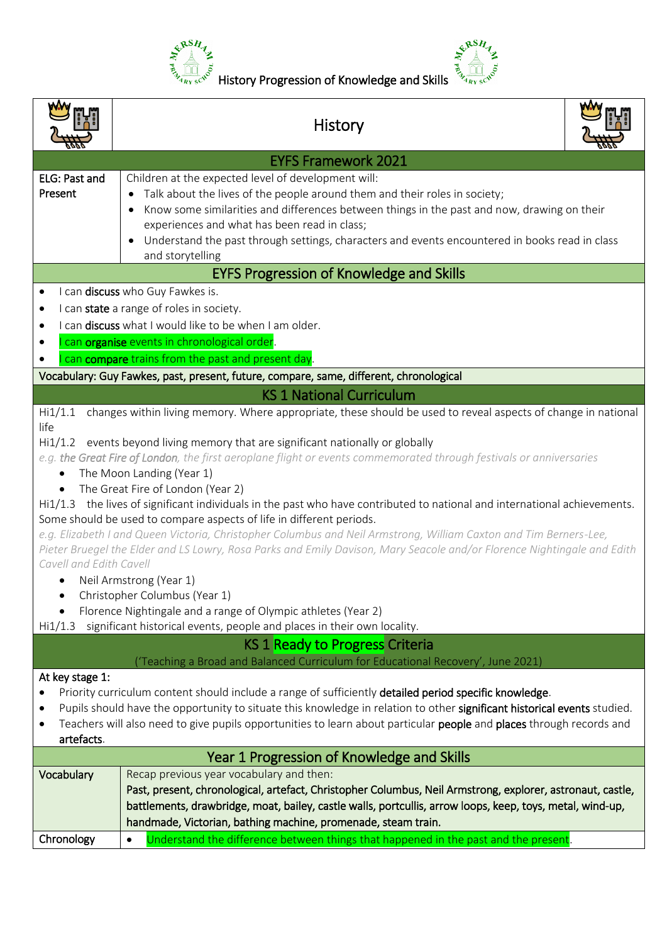



|                                                                                                                                                                                                                                                                                                                                                                                                                                                                                                                                                                                                                                                                                                                                                                                                                                                                                                                                                                                                                                                                                                                | <b>History</b>                                                                                                                                                                                                                                                                                                                                                                                                      |
|----------------------------------------------------------------------------------------------------------------------------------------------------------------------------------------------------------------------------------------------------------------------------------------------------------------------------------------------------------------------------------------------------------------------------------------------------------------------------------------------------------------------------------------------------------------------------------------------------------------------------------------------------------------------------------------------------------------------------------------------------------------------------------------------------------------------------------------------------------------------------------------------------------------------------------------------------------------------------------------------------------------------------------------------------------------------------------------------------------------|---------------------------------------------------------------------------------------------------------------------------------------------------------------------------------------------------------------------------------------------------------------------------------------------------------------------------------------------------------------------------------------------------------------------|
|                                                                                                                                                                                                                                                                                                                                                                                                                                                                                                                                                                                                                                                                                                                                                                                                                                                                                                                                                                                                                                                                                                                | <b>EYFS Framework 2021</b>                                                                                                                                                                                                                                                                                                                                                                                          |
| ELG: Past and<br>Present                                                                                                                                                                                                                                                                                                                                                                                                                                                                                                                                                                                                                                                                                                                                                                                                                                                                                                                                                                                                                                                                                       | Children at the expected level of development will:<br>Talk about the lives of the people around them and their roles in society;<br>Know some similarities and differences between things in the past and now, drawing on their<br>experiences and what has been read in class;<br>Understand the past through settings, characters and events encountered in books read in class<br>$\bullet$<br>and storytelling |
|                                                                                                                                                                                                                                                                                                                                                                                                                                                                                                                                                                                                                                                                                                                                                                                                                                                                                                                                                                                                                                                                                                                | <b>EYFS Progression of Knowledge and Skills</b>                                                                                                                                                                                                                                                                                                                                                                     |
|                                                                                                                                                                                                                                                                                                                                                                                                                                                                                                                                                                                                                                                                                                                                                                                                                                                                                                                                                                                                                                                                                                                | I can discuss who Guy Fawkes is.<br>I can state a range of roles in society.<br>I can discuss what I would like to be when I am older.<br>can organise events in chronological order.<br>can compare trains from the past and present day.                                                                                                                                                                          |
|                                                                                                                                                                                                                                                                                                                                                                                                                                                                                                                                                                                                                                                                                                                                                                                                                                                                                                                                                                                                                                                                                                                | Vocabulary: Guy Fawkes, past, present, future, compare, same, different, chronological                                                                                                                                                                                                                                                                                                                              |
|                                                                                                                                                                                                                                                                                                                                                                                                                                                                                                                                                                                                                                                                                                                                                                                                                                                                                                                                                                                                                                                                                                                | <b>KS 1 National Curriculum</b>                                                                                                                                                                                                                                                                                                                                                                                     |
| changes within living memory. Where appropriate, these should be used to reveal aspects of change in national<br>Hi1/1.1<br>life<br>Hi1/1.2 events beyond living memory that are significant nationally or globally<br>e.g. the Great Fire of London, the first aeroplane flight or events commemorated through festivals or anniversaries<br>The Moon Landing (Year 1)<br>The Great Fire of London (Year 2)<br>Hi1/1.3 the lives of significant individuals in the past who have contributed to national and international achievements.<br>Some should be used to compare aspects of life in different periods.<br>e.g. Elizabeth I and Queen Victoria, Christopher Columbus and Neil Armstrong, William Caxton and Tim Berners-Lee,<br>Pieter Bruegel the Elder and LS Lowry, Rosa Parks and Emily Davison, Mary Seacole and/or Florence Nightingale and Edith<br>Cavell and Edith Cavell<br>Neil Armstrong (Year 1)<br>Christopher Columbus (Year 1)<br>Florence Nightingale and a range of Olympic athletes (Year 2)<br>significant historical events, people and places in their own locality.<br>Hi/1.3 |                                                                                                                                                                                                                                                                                                                                                                                                                     |
|                                                                                                                                                                                                                                                                                                                                                                                                                                                                                                                                                                                                                                                                                                                                                                                                                                                                                                                                                                                                                                                                                                                | KS 1 Ready to Progress Criteria                                                                                                                                                                                                                                                                                                                                                                                     |
| ('Teaching a Broad and Balanced Curriculum for Educational Recovery', June 2021)<br>At key stage 1:<br>Priority curriculum content should include a range of sufficiently detailed period specific knowledge.<br>Pupils should have the opportunity to situate this knowledge in relation to other significant historical events studied.<br>Teachers will also need to give pupils opportunities to learn about particular people and places through records and<br>artefacts.                                                                                                                                                                                                                                                                                                                                                                                                                                                                                                                                                                                                                                |                                                                                                                                                                                                                                                                                                                                                                                                                     |
|                                                                                                                                                                                                                                                                                                                                                                                                                                                                                                                                                                                                                                                                                                                                                                                                                                                                                                                                                                                                                                                                                                                | Year 1 Progression of Knowledge and Skills                                                                                                                                                                                                                                                                                                                                                                          |
| Vocabulary                                                                                                                                                                                                                                                                                                                                                                                                                                                                                                                                                                                                                                                                                                                                                                                                                                                                                                                                                                                                                                                                                                     | Recap previous year vocabulary and then:<br>Past, present, chronological, artefact, Christopher Columbus, Neil Armstrong, explorer, astronaut, castle,<br>battlements, drawbridge, moat, bailey, castle walls, portcullis, arrow loops, keep, toys, metal, wind-up,<br>handmade, Victorian, bathing machine, promenade, steam train.                                                                                |
| Chronology                                                                                                                                                                                                                                                                                                                                                                                                                                                                                                                                                                                                                                                                                                                                                                                                                                                                                                                                                                                                                                                                                                     | Understand the difference between things that happened in the past and the present.<br>$\bullet$                                                                                                                                                                                                                                                                                                                    |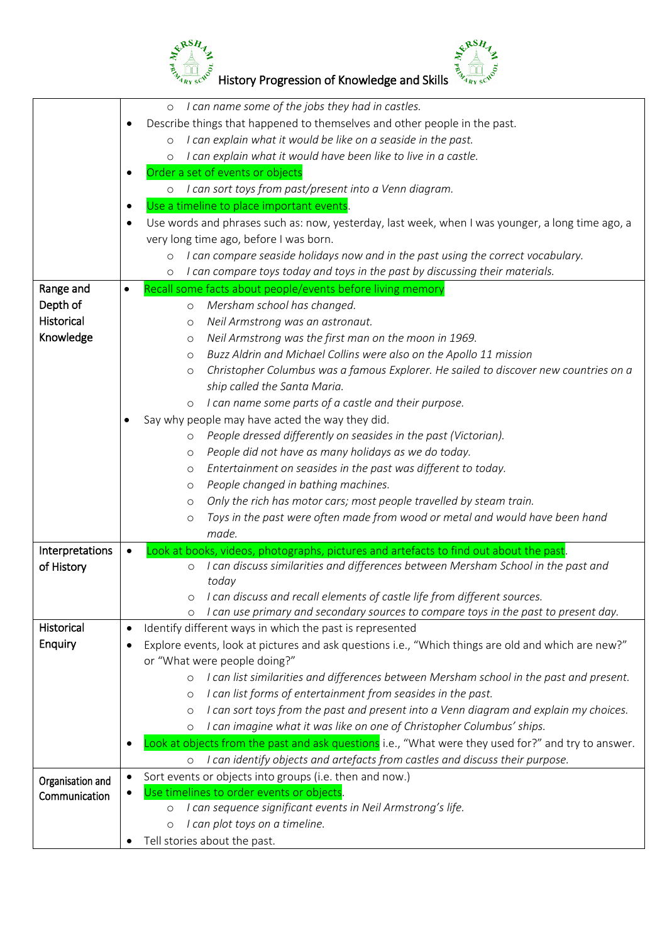

|                                   | I can name some of the jobs they had in castles.<br>$\circ$                                                     |  |  |
|-----------------------------------|-----------------------------------------------------------------------------------------------------------------|--|--|
|                                   | Describe things that happened to themselves and other people in the past.                                       |  |  |
|                                   | I can explain what it would be like on a seaside in the past.<br>$\circ$                                        |  |  |
|                                   | I can explain what it would have been like to live in a castle.<br>$\circ$                                      |  |  |
|                                   | Order a set of events or objects                                                                                |  |  |
|                                   | I can sort toys from past/present into a Venn diagram.<br>$\circ$                                               |  |  |
|                                   | Use a timeline to place important events.                                                                       |  |  |
|                                   |                                                                                                                 |  |  |
|                                   | Use words and phrases such as: now, yesterday, last week, when I was younger, a long time ago, a                |  |  |
|                                   | very long time ago, before I was born.                                                                          |  |  |
|                                   | I can compare seaside holidays now and in the past using the correct vocabulary.<br>$\circ$                     |  |  |
|                                   | I can compare toys today and toys in the past by discussing their materials.<br>$\circ$                         |  |  |
| Range and                         | Recall some facts about people/events before living memory<br>$\bullet$                                         |  |  |
| Depth of                          | Mersham school has changed.<br>$\circ$                                                                          |  |  |
| Historical                        | Neil Armstrong was an astronaut.<br>$\circ$                                                                     |  |  |
| Knowledge                         | Neil Armstrong was the first man on the moon in 1969.<br>$\circ$                                                |  |  |
|                                   | Buzz Aldrin and Michael Collins were also on the Apollo 11 mission<br>$\circ$                                   |  |  |
|                                   | Christopher Columbus was a famous Explorer. He sailed to discover new countries on a<br>$\circ$                 |  |  |
|                                   | ship called the Santa Maria.                                                                                    |  |  |
|                                   | I can name some parts of a castle and their purpose.<br>$\circ$                                                 |  |  |
|                                   | Say why people may have acted the way they did.<br>٠                                                            |  |  |
|                                   | People dressed differently on seasides in the past (Victorian).<br>$\circ$                                      |  |  |
|                                   | People did not have as many holidays as we do today.<br>$\circ$                                                 |  |  |
|                                   | Entertainment on seasides in the past was different to today.<br>$\circ$                                        |  |  |
|                                   | People changed in bathing machines.                                                                             |  |  |
|                                   | $\circ$                                                                                                         |  |  |
|                                   | Only the rich has motor cars; most people travelled by steam train.<br>$\circ$                                  |  |  |
|                                   | Toys in the past were often made from wood or metal and would have been hand<br>$\circ$                         |  |  |
|                                   | made.                                                                                                           |  |  |
| Interpretations                   | Look at books, videos, photographs, pictures and artefacts to find out about the past.                          |  |  |
| of History                        | I can discuss similarities and differences between Mersham School in the past and<br>$\circ$                    |  |  |
|                                   | today                                                                                                           |  |  |
|                                   | I can discuss and recall elements of castle life from different sources.                                        |  |  |
|                                   | I can use primary and secondary sources to compare toys in the past to present day.<br>$\circ$                  |  |  |
| Historical                        | Identify different ways in which the past is represented<br>$\bullet$                                           |  |  |
| Enquiry                           | Explore events, look at pictures and ask questions i.e., "Which things are old and which are new?"<br>$\bullet$ |  |  |
|                                   | or "What were people doing?"                                                                                    |  |  |
|                                   | I can list similarities and differences between Mersham school in the past and present.<br>$\circ$              |  |  |
|                                   | I can list forms of entertainment from seasides in the past.<br>$\circ$                                         |  |  |
|                                   | I can sort toys from the past and present into a Venn diagram and explain my choices.<br>$\circ$                |  |  |
|                                   | I can imagine what it was like on one of Christopher Columbus' ships.<br>$\circ$                                |  |  |
|                                   | Look at objects from the past and ask questions i.e., "What were they used for?" and try to answer.             |  |  |
|                                   | I can identify objects and artefacts from castles and discuss their purpose.<br>$\circ$                         |  |  |
|                                   | Sort events or objects into groups (i.e. then and now.)                                                         |  |  |
| Organisation and<br>Communication | Use timelines to order events or objects.                                                                       |  |  |
|                                   | I can sequence significant events in Neil Armstrong's life.<br>$\circ$                                          |  |  |
|                                   | I can plot toys on a timeline.<br>$\circ$                                                                       |  |  |
|                                   | Tell stories about the past.                                                                                    |  |  |
|                                   |                                                                                                                 |  |  |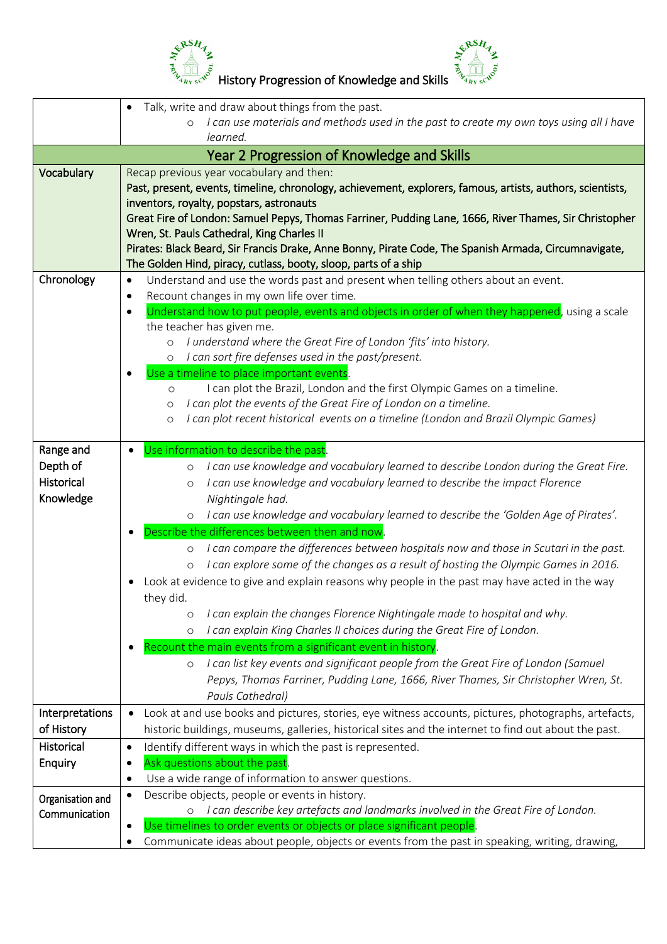

 $\frac{e^{x^{BSH}}}{\sum_{i}^{8} \frac{1}{\sqrt{10}} \int_{c}^{c} e^{x^{BSH}}$  History Progression of Knowledge and Skills  $\frac{e^{x^{BSH}}}{\sum_{i}^{8} \frac{1}{\sqrt{10}} \int_{c}^{c} e^{x^{BSH}}}{\sum_{i}^{8} \frac{1}{\sqrt{10}} \int_{c}^{c} e^{x^{CSH}}}}$ 

|                  | Talk, write and draw about things from the past.                                                                                                                  |  |  |
|------------------|-------------------------------------------------------------------------------------------------------------------------------------------------------------------|--|--|
|                  | I can use materials and methods used in the past to create my own toys using all I have<br>$\circ$                                                                |  |  |
|                  | learned.                                                                                                                                                          |  |  |
|                  | Year 2 Progression of Knowledge and Skills                                                                                                                        |  |  |
| Vocabulary       | Recap previous year vocabulary and then:                                                                                                                          |  |  |
|                  | Past, present, events, timeline, chronology, achievement, explorers, famous, artists, authors, scientists,                                                        |  |  |
|                  | inventors, royalty, popstars, astronauts                                                                                                                          |  |  |
|                  | Great Fire of London: Samuel Pepys, Thomas Farriner, Pudding Lane, 1666, River Thames, Sir Christopher                                                            |  |  |
|                  | Wren, St. Pauls Cathedral, King Charles II                                                                                                                        |  |  |
|                  | Pirates: Black Beard, Sir Francis Drake, Anne Bonny, Pirate Code, The Spanish Armada, Circumnavigate,                                                             |  |  |
| Chronology       | The Golden Hind, piracy, cutlass, booty, sloop, parts of a ship<br>Understand and use the words past and present when telling others about an event.<br>$\bullet$ |  |  |
|                  | Recount changes in my own life over time.<br>٠                                                                                                                    |  |  |
|                  | Understand how to put people, events and objects in order of when they happened, using a scale<br>$\bullet$                                                       |  |  |
|                  | the teacher has given me.                                                                                                                                         |  |  |
|                  | I understand where the Great Fire of London 'fits' into history.<br>$\circ$                                                                                       |  |  |
|                  | o I can sort fire defenses used in the past/present.                                                                                                              |  |  |
|                  | Use a timeline to place important events.                                                                                                                         |  |  |
|                  | I can plot the Brazil, London and the first Olympic Games on a timeline.<br>$\circ$                                                                               |  |  |
|                  | I can plot the events of the Great Fire of London on a timeline.<br>$\circ$                                                                                       |  |  |
|                  | I can plot recent historical events on a timeline (London and Brazil Olympic Games)<br>$\circ$                                                                    |  |  |
|                  |                                                                                                                                                                   |  |  |
| Range and        | Use information to describe the past.                                                                                                                             |  |  |
| Depth of         | I can use knowledge and vocabulary learned to describe London during the Great Fire.<br>$\circ$                                                                   |  |  |
| Historical       | I can use knowledge and vocabulary learned to describe the impact Florence<br>$\circ$                                                                             |  |  |
| Knowledge        | Nightingale had.                                                                                                                                                  |  |  |
|                  | I can use knowledge and vocabulary learned to describe the 'Golden Age of Pirates'.<br>$\circ$                                                                    |  |  |
|                  | Describe the differences between then and now.                                                                                                                    |  |  |
|                  | I can compare the differences between hospitals now and those in Scutari in the past.<br>$\circ$                                                                  |  |  |
|                  | I can explore some of the changes as a result of hosting the Olympic Games in 2016.<br>$\circ$                                                                    |  |  |
|                  | Look at evidence to give and explain reasons why people in the past may have acted in the way<br>they did.                                                        |  |  |
|                  | I can explain the changes Florence Nightingale made to hospital and why.                                                                                          |  |  |
|                  | $\circ$<br>I can explain King Charles II choices during the Great Fire of London.<br>$\circ$                                                                      |  |  |
|                  | Recount the main events from a significant event in history.                                                                                                      |  |  |
|                  | I can list key events and significant people from the Great Fire of London (Samuel<br>$\circ$                                                                     |  |  |
|                  | Pepys, Thomas Farriner, Pudding Lane, 1666, River Thames, Sir Christopher Wren, St.                                                                               |  |  |
|                  | Pauls Cathedral)                                                                                                                                                  |  |  |
| Interpretations  | Look at and use books and pictures, stories, eye witness accounts, pictures, photographs, artefacts,<br>$\bullet$                                                 |  |  |
| of History       | historic buildings, museums, galleries, historical sites and the internet to find out about the past.                                                             |  |  |
| Historical       | Identify different ways in which the past is represented.<br>$\bullet$                                                                                            |  |  |
| <b>Enquiry</b>   | Ask questions about the past.<br>$\bullet$                                                                                                                        |  |  |
|                  | Use a wide range of information to answer questions.<br>$\bullet$                                                                                                 |  |  |
| Organisation and | Describe objects, people or events in history.<br>$\bullet$                                                                                                       |  |  |
| Communication    | I can describe key artefacts and landmarks involved in the Great Fire of London.                                                                                  |  |  |
|                  | Use timelines to order events or objects or place significant people.<br>$\bullet$                                                                                |  |  |
|                  | Communicate ideas about people, objects or events from the past in speaking, writing, drawing,                                                                    |  |  |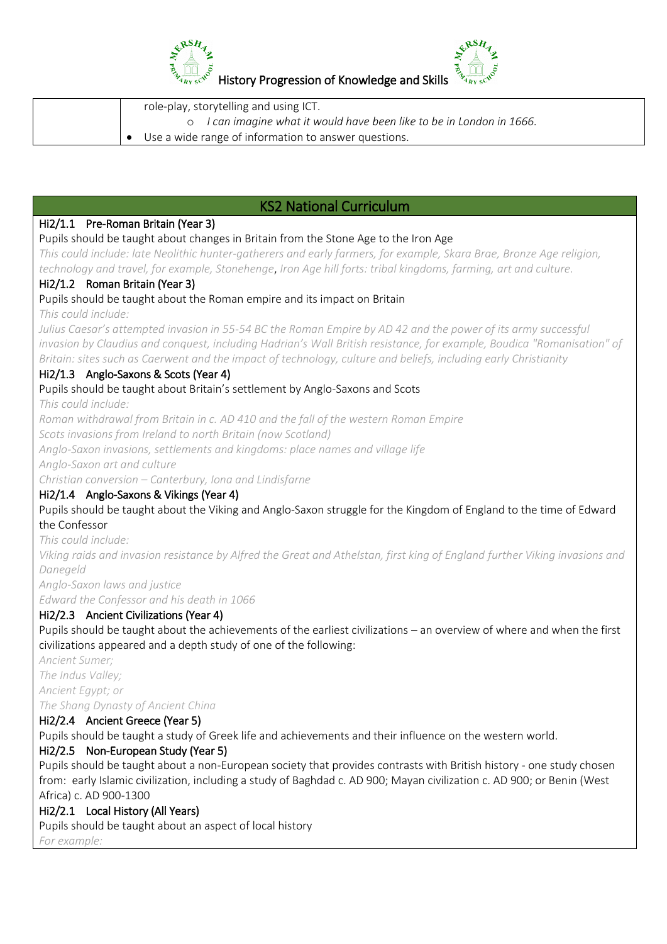

| role-play, storytelling and using ICT.                                |  |
|-----------------------------------------------------------------------|--|
| o I can imagine what it would have been like to be in London in 1666. |  |
| Use a wide range of information to answer questions.                  |  |

# KS2 National Curriculum

#### Hi2/1.1 Pre-Roman Britain (Year 3)

#### Pupils should be taught about changes in Britain from the Stone Age to the Iron Age

*This could include: late Neolithic hunter-gatherers and early farmers, for example, Skara Brae, Bronze Age religion, technology and travel, for example, Stonehenge*, *Iron Age hill forts: tribal kingdoms, farming, art and culture.*

#### Hi2/1.2 Roman Britain (Year 3)

Pupils should be taught about the Roman empire and its impact on Britain

*This could include:*

*Julius Caesar's attempted invasion in 55-54 BC the Roman Empire by AD 42 and the power of its army successful invasion by Claudius and conquest, including Hadrian's Wall British resistance, for example, Boudica "Romanisation" of Britain: sites such as Caerwent and the impact of technology, culture and beliefs, including early Christianity*

#### Hi2/1.3 Anglo-Saxons & Scots (Year 4)

#### Pupils should be taught about Britain's settlement by Anglo-Saxons and Scots

*This could include:*

*Roman withdrawal from Britain in c. AD 410 and the fall of the western Roman Empire*

*Scots invasions from Ireland to north Britain (now Scotland)*

*Anglo-Saxon invasions, settlements and kingdoms: place names and village life*

*Anglo-Saxon art and culture*

*Christian conversion – Canterbury, Iona and Lindisfarne*

### Hi2/1.4 Anglo-Saxons & Vikings (Year 4)

Pupils should be taught about the Viking and Anglo-Saxon struggle for the Kingdom of England to the time of Edward the Confessor

*This could include:*

*Viking raids and invasion resistance by Alfred the Great and Athelstan, first king of England further Viking invasions and Danegeld*

*Anglo-Saxon laws and justice*

*Edward the Confessor and his death in 1066*

### Hi2/2.3 Ancient Civilizations (Year 4)

Pupils should be taught about the achievements of the earliest civilizations – an overview of where and when the first civilizations appeared and a depth study of one of the following:

*Ancient Sumer;*

*The Indus Valley;*

*Ancient Egypt; or*

*The Shang Dynasty of Ancient China*

### Hi2/2.4 Ancient Greece (Year 5)

Pupils should be taught a study of Greek life and achievements and their influence on the western world.

### Hi2/2.5 Non-European Study (Year 5)

Pupils should be taught about a non-European society that provides contrasts with British history - one study chosen from: early Islamic civilization, including a study of Baghdad c. AD 900; Mayan civilization c. AD 900; or Benin (West Africa) c. AD 900-1300

### Hi2/2.1 Local History (All Years)

Pupils should be taught about an aspect of local history

*For example:*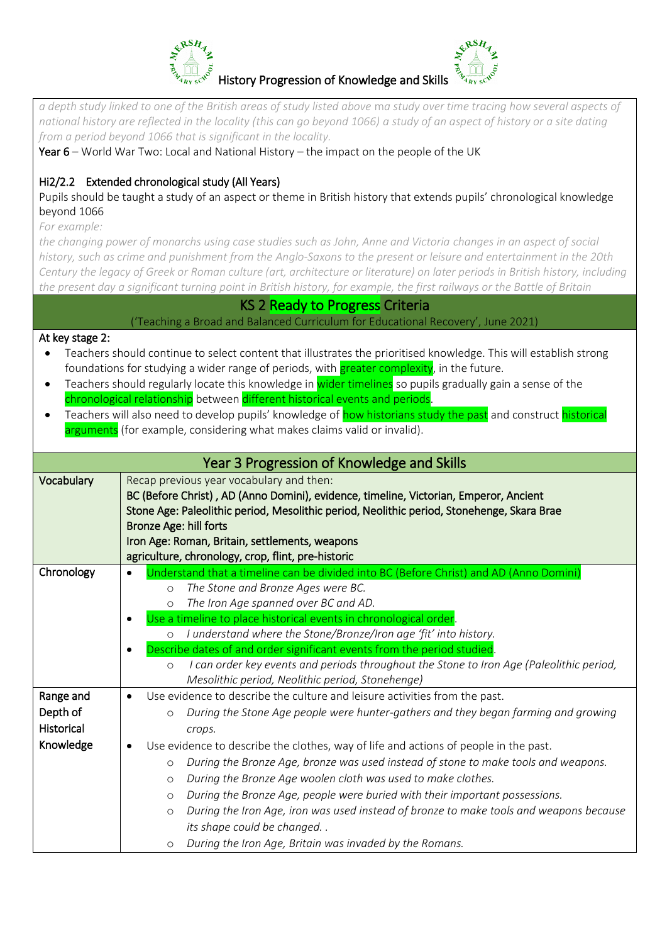

*a depth study linked to one of the British areas of study listed above* m*a study over time tracing how several aspects of national history are reflected in the locality (this can go beyond 1066) a study of an aspect of history or a site dating from a period beyond 1066 that is significant in the locality.*

Year  $6$  – World War Two: Local and National History – the impact on the people of the UK

## Hi2/2.2 Extended chronological study (All Years)

Pupils should be taught a study of an aspect or theme in British history that extends pupils' chronological knowledge beyond 1066

*For example:*

*the changing power of monarchs using case studies such as John, Anne and Victoria changes in an aspect of social history, such as crime and punishment from the Anglo-Saxons to the present or leisure and entertainment in the 20th Century the legacy of Greek or Roman culture (art, architecture or literature) on later periods in British history, including the present day a significant turning point in British history, for example, the first railways or the Battle of Britain*

KS 2 Ready to Progress Criteria

('Teaching a Broad and Balanced Curriculum for Educational Recovery', June 2021)

#### At key stage 2:

- Teachers should continue to select content that illustrates the prioritised knowledge. This will establish strong foundations for studying a wider range of periods, with **greater complexity**, in the future.
- Teachers should regularly locate this knowledge in wider timelines so pupils gradually gain a sense of the chronological relationship between different historical events and periods.
- Teachers will also need to develop pupils' knowledge of how historians study the past and construct historical arguments (for example, considering what makes claims valid or invalid).

| Year 3 Progression of Knowledge and Skills              |                                                                                                                                                                                                                                                                                                                                                                                                                                                                                                                                                                                                                                                                                                                                                                           |  |  |
|---------------------------------------------------------|---------------------------------------------------------------------------------------------------------------------------------------------------------------------------------------------------------------------------------------------------------------------------------------------------------------------------------------------------------------------------------------------------------------------------------------------------------------------------------------------------------------------------------------------------------------------------------------------------------------------------------------------------------------------------------------------------------------------------------------------------------------------------|--|--|
| Vocabulary                                              | Recap previous year vocabulary and then:<br>BC (Before Christ), AD (Anno Domini), evidence, timeline, Victorian, Emperor, Ancient<br>Stone Age: Paleolithic period, Mesolithic period, Neolithic period, Stonehenge, Skara Brae<br><b>Bronze Age: hill forts</b><br>Iron Age: Roman, Britain, settlements, weapons<br>agriculture, chronology, crop, flint, pre-historic                                                                                                                                                                                                                                                                                                                                                                                                  |  |  |
| Chronology                                              | Understand that a timeline can be divided into BC (Before Christ) and AD (Anno Domini)<br>$\bullet$<br>The Stone and Bronze Ages were BC.<br>$\circ$<br>The Iron Age spanned over BC and AD.<br>$\circ$<br>Use a timeline to place historical events in chronological order.<br>I understand where the Stone/Bronze/Iron age 'fit' into history.<br>$\circ$<br>Describe dates of and order significant events from the period studied.<br>I can order key events and periods throughout the Stone to Iron Age (Paleolithic period,<br>$\circ$<br>Mesolithic period, Neolithic period, Stonehenge)                                                                                                                                                                         |  |  |
| Range and<br>Depth of<br><b>Historical</b><br>Knowledge | Use evidence to describe the culture and leisure activities from the past.<br>$\bullet$<br>During the Stone Age people were hunter-gathers and they began farming and growing<br>$\circ$<br>crops.<br>Use evidence to describe the clothes, way of life and actions of people in the past.<br>During the Bronze Age, bronze was used instead of stone to make tools and weapons.<br>$\circ$<br>During the Bronze Age woolen cloth was used to make clothes.<br>$\circ$<br>During the Bronze Age, people were buried with their important possessions.<br>$\circ$<br>During the Iron Age, iron was used instead of bronze to make tools and weapons because<br>$\circ$<br>its shape could be changed<br>During the Iron Age, Britain was invaded by the Romans.<br>$\circ$ |  |  |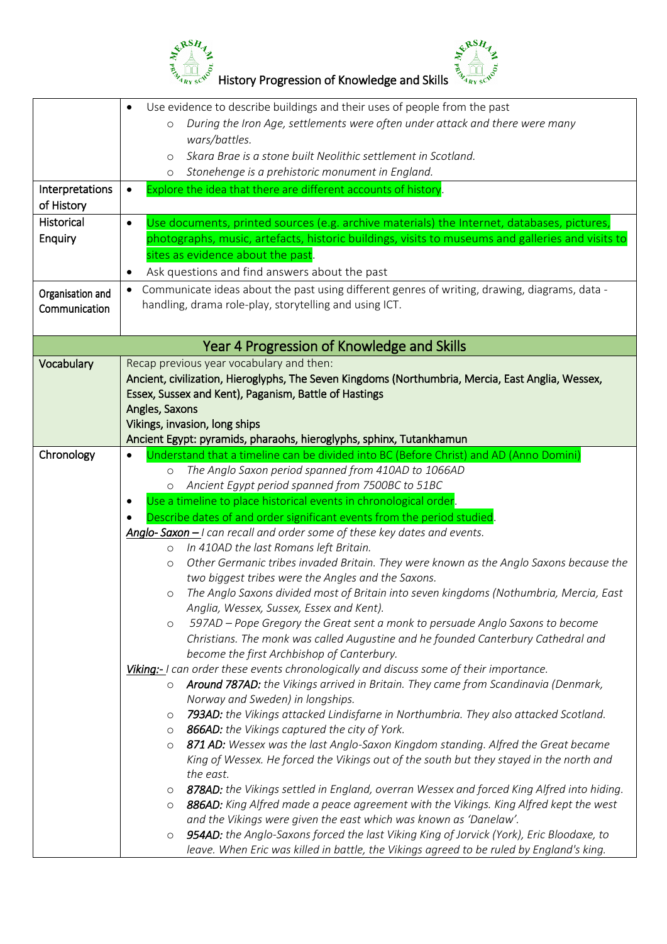



|                   | Use evidence to describe buildings and their uses of people from the past                                                                                                                       |  |  |  |
|-------------------|-------------------------------------------------------------------------------------------------------------------------------------------------------------------------------------------------|--|--|--|
|                   | During the Iron Age, settlements were often under attack and there were many<br>$\circ$                                                                                                         |  |  |  |
|                   | wars/battles.                                                                                                                                                                                   |  |  |  |
|                   | Skara Brae is a stone built Neolithic settlement in Scotland.<br>$\circ$                                                                                                                        |  |  |  |
|                   | Stonehenge is a prehistoric monument in England.<br>$\circ$                                                                                                                                     |  |  |  |
| Interpretations   | Explore the idea that there are different accounts of history.<br>$\bullet$                                                                                                                     |  |  |  |
| of History        |                                                                                                                                                                                                 |  |  |  |
| <b>Historical</b> | Use documents, printed sources (e.g. archive materials) the Internet, databases, pictures,<br>$\bullet$                                                                                         |  |  |  |
| Enquiry           | photographs, music, artefacts, historic buildings, visits to museums and galleries and visits to                                                                                                |  |  |  |
|                   | sites as evidence about the past.                                                                                                                                                               |  |  |  |
|                   |                                                                                                                                                                                                 |  |  |  |
|                   | Ask questions and find answers about the past<br>٠                                                                                                                                              |  |  |  |
| Organisation and  | Communicate ideas about the past using different genres of writing, drawing, diagrams, data -<br>$\bullet$                                                                                      |  |  |  |
| Communication     | handling, drama role-play, storytelling and using ICT.                                                                                                                                          |  |  |  |
|                   |                                                                                                                                                                                                 |  |  |  |
|                   | Year 4 Progression of Knowledge and Skills                                                                                                                                                      |  |  |  |
|                   |                                                                                                                                                                                                 |  |  |  |
| Vocabulary        | Recap previous year vocabulary and then:                                                                                                                                                        |  |  |  |
|                   | Ancient, civilization, Hieroglyphs, The Seven Kingdoms (Northumbria, Mercia, East Anglia, Wessex,                                                                                               |  |  |  |
|                   | Essex, Sussex and Kent), Paganism, Battle of Hastings                                                                                                                                           |  |  |  |
|                   | Angles, Saxons                                                                                                                                                                                  |  |  |  |
|                   | Vikings, invasion, long ships                                                                                                                                                                   |  |  |  |
|                   | Ancient Egypt: pyramids, pharaohs, hieroglyphs, sphinx, Tutankhamun                                                                                                                             |  |  |  |
| Chronology        | Understand that a timeline can be divided into BC (Before Christ) and AD (Anno Domini)                                                                                                          |  |  |  |
|                   | The Anglo Saxon period spanned from 410AD to 1066AD<br>$\circ$                                                                                                                                  |  |  |  |
|                   | Ancient Egypt period spanned from 7500BC to 51BC<br>$\circ$                                                                                                                                     |  |  |  |
|                   | Use a timeline to place historical events in chronological order.<br>٠                                                                                                                          |  |  |  |
|                   | Describe dates of and order significant events from the period studied.                                                                                                                         |  |  |  |
|                   | Anglo-Saxon $-1$ can recall and order some of these key dates and events.                                                                                                                       |  |  |  |
|                   |                                                                                                                                                                                                 |  |  |  |
|                   | In 410AD the last Romans left Britain.<br>$\circ$                                                                                                                                               |  |  |  |
|                   | Other Germanic tribes invaded Britain. They were known as the Anglo Saxons because the<br>$\circ$                                                                                               |  |  |  |
|                   | two biggest tribes were the Angles and the Saxons.                                                                                                                                              |  |  |  |
|                   |                                                                                                                                                                                                 |  |  |  |
|                   | o The Anglo Saxons divided most of Britain into seven kingdoms (Nothumbria, Mercia, East<br>Anglia, Wessex, Sussex, Essex and Kent).                                                            |  |  |  |
|                   | $\circ$                                                                                                                                                                                         |  |  |  |
|                   | 597AD - Pope Gregory the Great sent a monk to persuade Anglo Saxons to become                                                                                                                   |  |  |  |
|                   | Christians. The monk was called Augustine and he founded Canterbury Cathedral and                                                                                                               |  |  |  |
|                   | become the first Archbishop of Canterbury.                                                                                                                                                      |  |  |  |
|                   | Viking:- I can order these events chronologically and discuss some of their importance.<br>$\circ$                                                                                              |  |  |  |
|                   | Around 787AD: the Vikings arrived in Britain. They came from Scandinavia (Denmark,                                                                                                              |  |  |  |
|                   | Norway and Sweden) in longships.<br>O                                                                                                                                                           |  |  |  |
|                   | 793AD: the Vikings attacked Lindisfarne in Northumbria. They also attacked Scotland.                                                                                                            |  |  |  |
|                   | 866AD: the Vikings captured the city of York.<br>$\circ$<br>$\circ$                                                                                                                             |  |  |  |
|                   | 871 AD: Wessex was the last Anglo-Saxon Kingdom standing. Alfred the Great became                                                                                                               |  |  |  |
|                   | King of Wessex. He forced the Vikings out of the south but they stayed in the north and                                                                                                         |  |  |  |
|                   | the east.                                                                                                                                                                                       |  |  |  |
|                   | 878AD: the Vikings settled in England, overran Wessex and forced King Alfred into hiding.<br>$\circ$                                                                                            |  |  |  |
|                   | 886AD: King Alfred made a peace agreement with the Vikings. King Alfred kept the west<br>$\circ$                                                                                                |  |  |  |
|                   | and the Vikings were given the east which was known as 'Danelaw'.                                                                                                                               |  |  |  |
|                   | 954AD: the Anglo-Saxons forced the last Viking King of Jorvick (York), Eric Bloodaxe, to<br>$\circ$<br>leave. When Eric was killed in battle, the Vikings agreed to be ruled by England's king. |  |  |  |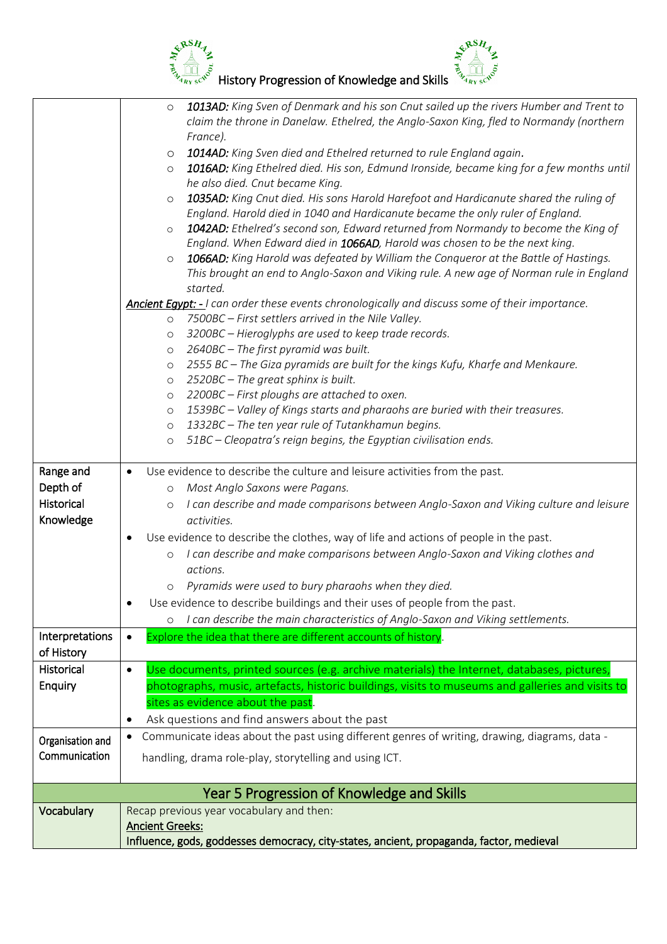



|                  | 1013AD: King Sven of Denmark and his son Cnut sailed up the rivers Humber and Trent to<br>$\circ$<br>claim the throne in Danelaw. Ethelred, the Anglo-Saxon King, fled to Normandy (northern<br>France). |
|------------------|----------------------------------------------------------------------------------------------------------------------------------------------------------------------------------------------------------|
|                  | 1014AD: King Sven died and Ethelred returned to rule England again.<br>$\circ$                                                                                                                           |
|                  | 1016AD: King Ethelred died. His son, Edmund Ironside, became king for a few months until<br>$\circ$                                                                                                      |
|                  | he also died. Cnut became King.                                                                                                                                                                          |
|                  | 1035AD: King Cnut died. His sons Harold Harefoot and Hardicanute shared the ruling of<br>$\circ$                                                                                                         |
|                  | England. Harold died in 1040 and Hardicanute became the only ruler of England.                                                                                                                           |
|                  | 1042AD: Ethelred's second son, Edward returned from Normandy to become the King of<br>$\circ$<br>England. When Edward died in 1066AD, Harold was chosen to be the next king.                             |
|                  | 1066AD: King Harold was defeated by William the Conqueror at the Battle of Hastings.<br>$\circ$                                                                                                          |
|                  | This brought an end to Anglo-Saxon and Viking rule. A new age of Norman rule in England<br>started.                                                                                                      |
|                  | Ancient Egypt: - I can order these events chronologically and discuss some of their importance.                                                                                                          |
|                  | 7500BC - First settlers arrived in the Nile Valley.<br>$\circ$                                                                                                                                           |
|                  | 3200BC - Hieroglyphs are used to keep trade records.<br>O                                                                                                                                                |
|                  | 2640BC - The first pyramid was built.<br>O                                                                                                                                                               |
|                  | 2555 BC - The Giza pyramids are built for the kings Kufu, Kharfe and Menkaure.<br>$\circ$                                                                                                                |
|                  | 2520BC - The great sphinx is built.<br>$\circ$                                                                                                                                                           |
|                  | 2200BC - First ploughs are attached to oxen.<br>$\circ$                                                                                                                                                  |
|                  | 1539BC - Valley of Kings starts and pharaohs are buried with their treasures.<br>$\circ$                                                                                                                 |
|                  | 1332BC - The ten year rule of Tutankhamun begins.<br>$\circ$                                                                                                                                             |
|                  | 51BC - Cleopatra's reign begins, the Egyptian civilisation ends.<br>$\circ$                                                                                                                              |
|                  |                                                                                                                                                                                                          |
| Range and        | Use evidence to describe the culture and leisure activities from the past.<br>$\bullet$                                                                                                                  |
| Depth of         | Most Anglo Saxons were Pagans.<br>$\circ$                                                                                                                                                                |
| Historical       | I can describe and made comparisons between Anglo-Saxon and Viking culture and leisure<br>$\circ$                                                                                                        |
| Knowledge        | activities.                                                                                                                                                                                              |
|                  | Use evidence to describe the clothes, way of life and actions of people in the past.<br>٠                                                                                                                |
|                  | I can describe and make comparisons between Anglo-Saxon and Viking clothes and<br>$\circ$                                                                                                                |
|                  | actions.                                                                                                                                                                                                 |
|                  | Pyramids were used to bury pharaohs when they died.<br>$\circ$                                                                                                                                           |
|                  | Use evidence to describe buildings and their uses of people from the past.                                                                                                                               |
|                  | I can describe the main characteristics of Anglo-Saxon and Viking settlements.<br>O                                                                                                                      |
| Interpretations  | Explore the idea that there are different accounts of history.                                                                                                                                           |
| of History       |                                                                                                                                                                                                          |
| Historical       | Use documents, printed sources (e.g. archive materials) the Internet, databases, pictures,<br>$\bullet$                                                                                                  |
| Enquiry          | photographs, music, artefacts, historic buildings, visits to museums and galleries and visits to                                                                                                         |
|                  | sites as evidence about the past.                                                                                                                                                                        |
|                  | Ask questions and find answers about the past<br>٠                                                                                                                                                       |
|                  | Communicate ideas about the past using different genres of writing, drawing, diagrams, data -<br>$\bullet$                                                                                               |
| Organisation and |                                                                                                                                                                                                          |
| Communication    | handling, drama role-play, storytelling and using ICT.                                                                                                                                                   |
|                  |                                                                                                                                                                                                          |
|                  | Year 5 Progression of Knowledge and Skills                                                                                                                                                               |
| Vocabulary       | Recap previous year vocabulary and then:                                                                                                                                                                 |
|                  | <b>Ancient Greeks:</b>                                                                                                                                                                                   |
|                  | Influence, gods, goddesses democracy, city-states, ancient, propaganda, factor, medieval                                                                                                                 |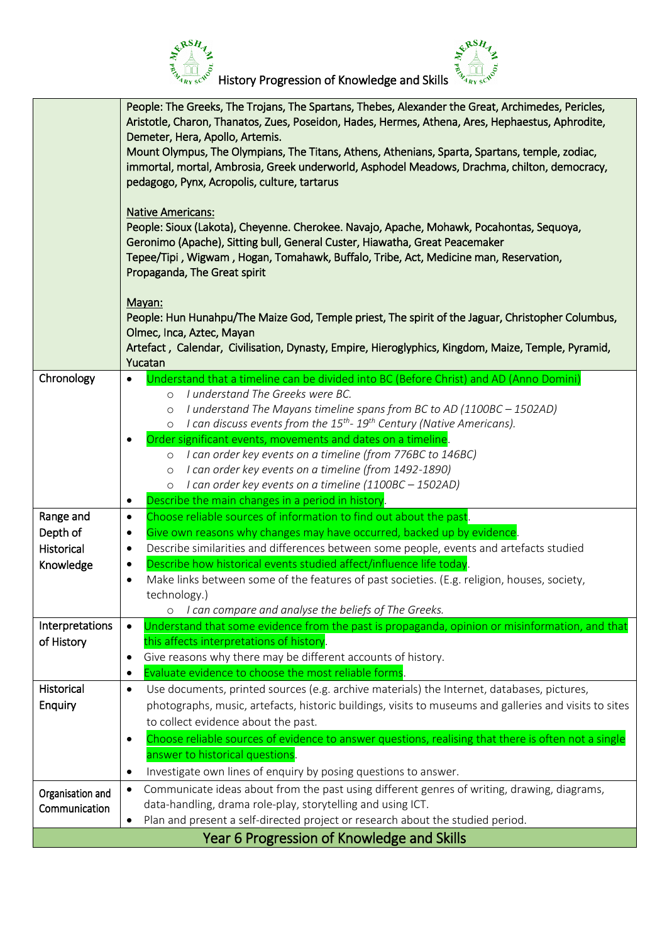

|                  | People: The Greeks, The Trojans, The Spartans, Thebes, Alexander the Great, Archimedes, Pericles,<br>Aristotle, Charon, Thanatos, Zues, Poseidon, Hades, Hermes, Athena, Ares, Hephaestus, Aphrodite, |  |  |
|------------------|-------------------------------------------------------------------------------------------------------------------------------------------------------------------------------------------------------|--|--|
|                  |                                                                                                                                                                                                       |  |  |
|                  | Demeter, Hera, Apollo, Artemis.                                                                                                                                                                       |  |  |
|                  | Mount Olympus, The Olympians, The Titans, Athens, Athenians, Sparta, Spartans, temple, zodiac,                                                                                                        |  |  |
|                  | immortal, mortal, Ambrosia, Greek underworld, Asphodel Meadows, Drachma, chilton, democracy,                                                                                                          |  |  |
|                  | pedagogo, Pynx, Acropolis, culture, tartarus                                                                                                                                                          |  |  |
|                  |                                                                                                                                                                                                       |  |  |
|                  | <b>Native Americans:</b>                                                                                                                                                                              |  |  |
|                  | People: Sioux (Lakota), Cheyenne. Cherokee. Navajo, Apache, Mohawk, Pocahontas, Sequoya,                                                                                                              |  |  |
|                  | Geronimo (Apache), Sitting bull, General Custer, Hiawatha, Great Peacemaker                                                                                                                           |  |  |
|                  | Tepee/Tipi, Wigwam, Hogan, Tomahawk, Buffalo, Tribe, Act, Medicine man, Reservation,                                                                                                                  |  |  |
|                  | Propaganda, The Great spirit                                                                                                                                                                          |  |  |
|                  |                                                                                                                                                                                                       |  |  |
|                  | Mayan:                                                                                                                                                                                                |  |  |
|                  | People: Hun Hunahpu/The Maize God, Temple priest, The spirit of the Jaguar, Christopher Columbus,                                                                                                     |  |  |
|                  | Olmec, Inca, Aztec, Mayan                                                                                                                                                                             |  |  |
|                  | Artefact, Calendar, Civilisation, Dynasty, Empire, Hieroglyphics, Kingdom, Maize, Temple, Pyramid,<br>Yucatan                                                                                         |  |  |
| Chronology       |                                                                                                                                                                                                       |  |  |
|                  | Understand that a timeline can be divided into BC (Before Christ) and AD (Anno Domini)<br>I understand The Greeks were BC.                                                                            |  |  |
|                  | $\circ$                                                                                                                                                                                               |  |  |
|                  | I understand The Mayans timeline spans from BC to AD (1100BC - 1502AD)<br>$\circ$<br>I can discuss events from the $15^{th}$ - $19^{th}$ Century (Native Americans).                                  |  |  |
|                  | $\circ$                                                                                                                                                                                               |  |  |
|                  | Order significant events, movements and dates on a timeline.<br>$\bullet$                                                                                                                             |  |  |
|                  | o I can order key events on a timeline (from 776BC to 146BC)                                                                                                                                          |  |  |
|                  | I can order key events on a timeline (from 1492-1890)<br>$\circ$                                                                                                                                      |  |  |
|                  | I can order key events on a timeline (1100BC – 1502AD)<br>$\circ$                                                                                                                                     |  |  |
|                  | Describe the main changes in a period in history.<br>$\bullet$                                                                                                                                        |  |  |
| Range and        | Choose reliable sources of information to find out about the past.<br>$\bullet$                                                                                                                       |  |  |
| Depth of         | Give own reasons why changes may have occurred, backed up by evidence.<br>٠                                                                                                                           |  |  |
| Historical       | Describe similarities and differences between some people, events and artefacts studied<br>٠                                                                                                          |  |  |
| Knowledge        | Describe how historical events studied affect/influence life today.<br>$\bullet$                                                                                                                      |  |  |
|                  | Make links between some of the features of past societies. (E.g. religion, houses, society,<br>$\bullet$                                                                                              |  |  |
|                  | technology.)                                                                                                                                                                                          |  |  |
|                  | I can compare and analyse the beliefs of The Greeks.                                                                                                                                                  |  |  |
| Interpretations  | Understand that some evidence from the past is propaganda, opinion or misinformation, and that<br>$\bullet$                                                                                           |  |  |
| of History       | this affects interpretations of history.                                                                                                                                                              |  |  |
|                  | Give reasons why there may be different accounts of history.<br>٠                                                                                                                                     |  |  |
|                  | Evaluate evidence to choose the most reliable forms                                                                                                                                                   |  |  |
| Historical       | Use documents, printed sources (e.g. archive materials) the Internet, databases, pictures,<br>٠                                                                                                       |  |  |
| Enquiry          | photographs, music, artefacts, historic buildings, visits to museums and galleries and visits to sites                                                                                                |  |  |
|                  | to collect evidence about the past.                                                                                                                                                                   |  |  |
|                  | Choose reliable sources of evidence to answer questions, realising that there is often not a single<br>$\bullet$                                                                                      |  |  |
|                  | answer to historical questions.                                                                                                                                                                       |  |  |
|                  | Investigate own lines of enquiry by posing questions to answer.<br>$\bullet$                                                                                                                          |  |  |
|                  | Communicate ideas about from the past using different genres of writing, drawing, diagrams,<br>$\bullet$                                                                                              |  |  |
| Organisation and | data-handling, drama role-play, storytelling and using ICT.                                                                                                                                           |  |  |
| Communication    | Plan and present a self-directed project or research about the studied period.                                                                                                                        |  |  |
|                  |                                                                                                                                                                                                       |  |  |
|                  | Year 6 Progression of Knowledge and Skills                                                                                                                                                            |  |  |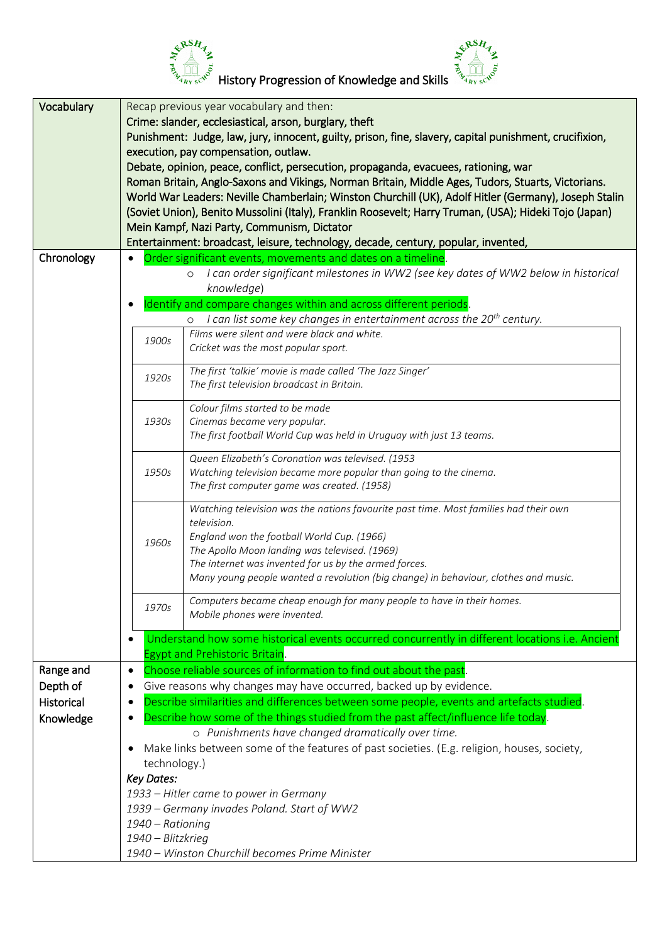

| Vocabulary | Recap previous year vocabulary and then:<br>Crime: slander, ecclesiastical, arson, burglary, theft<br>Punishment: Judge, law, jury, innocent, guilty, prison, fine, slavery, capital punishment, crucifixion,<br>execution, pay compensation, outlaw.<br>Debate, opinion, peace, conflict, persecution, propaganda, evacuees, rationing, war<br>Roman Britain, Anglo-Saxons and Vikings, Norman Britain, Middle Ages, Tudors, Stuarts, Victorians. |                                                                                                                                                                                                                                                                                                                                                      |  |
|------------|----------------------------------------------------------------------------------------------------------------------------------------------------------------------------------------------------------------------------------------------------------------------------------------------------------------------------------------------------------------------------------------------------------------------------------------------------|------------------------------------------------------------------------------------------------------------------------------------------------------------------------------------------------------------------------------------------------------------------------------------------------------------------------------------------------------|--|
|            |                                                                                                                                                                                                                                                                                                                                                                                                                                                    | World War Leaders: Neville Chamberlain; Winston Churchill (UK), Adolf Hitler (Germany), Joseph Stalin<br>(Soviet Union), Benito Mussolini (Italy), Franklin Roosevelt; Harry Truman, (USA); Hideki Tojo (Japan)<br>Mein Kampf, Nazi Party, Communism, Dictator<br>Entertainment: broadcast, leisure, technology, decade, century, popular, invented, |  |
| Chronology |                                                                                                                                                                                                                                                                                                                                                                                                                                                    | Order significant events, movements and dates on a timeline.                                                                                                                                                                                                                                                                                         |  |
|            |                                                                                                                                                                                                                                                                                                                                                                                                                                                    | I can order significant milestones in WW2 (see key dates of WW2 below in historical<br>$\circ$                                                                                                                                                                                                                                                       |  |
|            |                                                                                                                                                                                                                                                                                                                                                                                                                                                    | knowledge)                                                                                                                                                                                                                                                                                                                                           |  |
|            |                                                                                                                                                                                                                                                                                                                                                                                                                                                    | Identify and compare changes within and across different periods.                                                                                                                                                                                                                                                                                    |  |
|            |                                                                                                                                                                                                                                                                                                                                                                                                                                                    | I can list some key changes in entertainment across the $20^{th}$ century.                                                                                                                                                                                                                                                                           |  |
|            |                                                                                                                                                                                                                                                                                                                                                                                                                                                    | Films were silent and were black and white.                                                                                                                                                                                                                                                                                                          |  |
|            | 1900s                                                                                                                                                                                                                                                                                                                                                                                                                                              | Cricket was the most popular sport.                                                                                                                                                                                                                                                                                                                  |  |
|            |                                                                                                                                                                                                                                                                                                                                                                                                                                                    |                                                                                                                                                                                                                                                                                                                                                      |  |
|            | 1920s                                                                                                                                                                                                                                                                                                                                                                                                                                              | The first 'talkie' movie is made called 'The Jazz Singer'                                                                                                                                                                                                                                                                                            |  |
|            |                                                                                                                                                                                                                                                                                                                                                                                                                                                    | The first television broadcast in Britain.                                                                                                                                                                                                                                                                                                           |  |
|            |                                                                                                                                                                                                                                                                                                                                                                                                                                                    | Colour films started to be made                                                                                                                                                                                                                                                                                                                      |  |
|            | 1930s                                                                                                                                                                                                                                                                                                                                                                                                                                              | Cinemas became very popular.                                                                                                                                                                                                                                                                                                                         |  |
|            |                                                                                                                                                                                                                                                                                                                                                                                                                                                    | The first football World Cup was held in Uruguay with just 13 teams.                                                                                                                                                                                                                                                                                 |  |
|            |                                                                                                                                                                                                                                                                                                                                                                                                                                                    |                                                                                                                                                                                                                                                                                                                                                      |  |
|            |                                                                                                                                                                                                                                                                                                                                                                                                                                                    | Queen Elizabeth's Coronation was televised. (1953                                                                                                                                                                                                                                                                                                    |  |
|            | 1950s                                                                                                                                                                                                                                                                                                                                                                                                                                              | Watching television became more popular than going to the cinema.                                                                                                                                                                                                                                                                                    |  |
|            |                                                                                                                                                                                                                                                                                                                                                                                                                                                    | The first computer game was created. (1958)                                                                                                                                                                                                                                                                                                          |  |
|            |                                                                                                                                                                                                                                                                                                                                                                                                                                                    | Watching television was the nations favourite past time. Most families had their own                                                                                                                                                                                                                                                                 |  |
|            |                                                                                                                                                                                                                                                                                                                                                                                                                                                    | television.                                                                                                                                                                                                                                                                                                                                          |  |
|            | 1960s                                                                                                                                                                                                                                                                                                                                                                                                                                              | England won the football World Cup. (1966)                                                                                                                                                                                                                                                                                                           |  |
|            |                                                                                                                                                                                                                                                                                                                                                                                                                                                    | The Apollo Moon landing was televised. (1969)                                                                                                                                                                                                                                                                                                        |  |
|            |                                                                                                                                                                                                                                                                                                                                                                                                                                                    | The internet was invented for us by the armed forces.                                                                                                                                                                                                                                                                                                |  |
|            |                                                                                                                                                                                                                                                                                                                                                                                                                                                    | Many young people wanted a revolution (big change) in behaviour, clothes and music.                                                                                                                                                                                                                                                                  |  |
|            |                                                                                                                                                                                                                                                                                                                                                                                                                                                    | Computers became cheap enough for many people to have in their homes.                                                                                                                                                                                                                                                                                |  |
|            | 1970s                                                                                                                                                                                                                                                                                                                                                                                                                                              | Mobile phones were invented.                                                                                                                                                                                                                                                                                                                         |  |
|            |                                                                                                                                                                                                                                                                                                                                                                                                                                                    |                                                                                                                                                                                                                                                                                                                                                      |  |
|            | $\bullet$                                                                                                                                                                                                                                                                                                                                                                                                                                          | Understand how some historical events occurred concurrently in different locations i.e. Ancient                                                                                                                                                                                                                                                      |  |
|            |                                                                                                                                                                                                                                                                                                                                                                                                                                                    | <b>Egypt and Prehistoric Britain.</b>                                                                                                                                                                                                                                                                                                                |  |
| Range and  | $\bullet$                                                                                                                                                                                                                                                                                                                                                                                                                                          | Choose reliable sources of information to find out about the past.                                                                                                                                                                                                                                                                                   |  |
| Depth of   | ٠                                                                                                                                                                                                                                                                                                                                                                                                                                                  | Give reasons why changes may have occurred, backed up by evidence.                                                                                                                                                                                                                                                                                   |  |
| Historical | $\bullet$                                                                                                                                                                                                                                                                                                                                                                                                                                          | Describe similarities and differences between some people, events and artefacts studied.                                                                                                                                                                                                                                                             |  |
| Knowledge  | ٠                                                                                                                                                                                                                                                                                                                                                                                                                                                  | Describe how some of the things studied from the past affect/influence life today.                                                                                                                                                                                                                                                                   |  |
|            |                                                                                                                                                                                                                                                                                                                                                                                                                                                    | o Punishments have changed dramatically over time.                                                                                                                                                                                                                                                                                                   |  |
|            | Make links between some of the features of past societies. (E.g. religion, houses, society,<br>٠                                                                                                                                                                                                                                                                                                                                                   |                                                                                                                                                                                                                                                                                                                                                      |  |
|            | technology.)                                                                                                                                                                                                                                                                                                                                                                                                                                       |                                                                                                                                                                                                                                                                                                                                                      |  |
|            | <b>Key Dates:</b>                                                                                                                                                                                                                                                                                                                                                                                                                                  |                                                                                                                                                                                                                                                                                                                                                      |  |
|            |                                                                                                                                                                                                                                                                                                                                                                                                                                                    | 1933 – Hitler came to power in Germany                                                                                                                                                                                                                                                                                                               |  |
|            | 1939 - Germany invades Poland. Start of WW2                                                                                                                                                                                                                                                                                                                                                                                                        |                                                                                                                                                                                                                                                                                                                                                      |  |
|            | 1940 - Rationing                                                                                                                                                                                                                                                                                                                                                                                                                                   |                                                                                                                                                                                                                                                                                                                                                      |  |
|            | 1940 - Blitzkrieg                                                                                                                                                                                                                                                                                                                                                                                                                                  |                                                                                                                                                                                                                                                                                                                                                      |  |
|            |                                                                                                                                                                                                                                                                                                                                                                                                                                                    | 1940 - Winston Churchill becomes Prime Minister                                                                                                                                                                                                                                                                                                      |  |